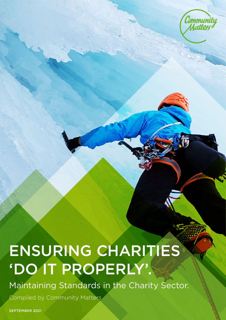

# ENSURING CHARITIES 'DO IT PROPERLY'.

Maintaining Standards in the Charity Sector.

Compiled by Community Matters

SEPTEMBER 2021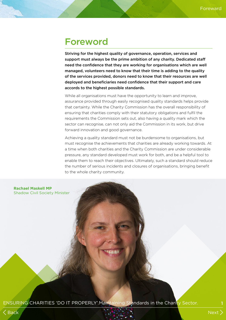### Foreword

Striving for the highest quality of governance, operation, services and support must always be the prime ambition of any charity. Dedicated staff need the confidence that they are working for organisations which are well managed, volunteers need to know that their time is adding to the quality of the services provided, donors need to know that their resources are well deployed and beneficiaries need confidence that their support and care accords to the highest possible standards.

While all organisations must have the opportunity to learn and improve, assurance provided through easily recognised quality standards helps provide that certainty. While the Charity Commission has the overall responsibility of ensuring that charities comply with their statutory obligations and fulfil the requirements the Commission sets out, also having a quality mark which the sector can recognise, can not only aid the Commission in its work, but drive forward innovation and good governance.

Achieving a quality standard must not be burdensome to organisations, but must recognise the achievements that charities are already working towards. At a time when both charities and the Charity Commission are under considerable pressure, any standard developed must work for both, and be a helpful tool to enable them to reach their objectives. Ultimately, such a standard should reduce the number of serious incidents and closures of organisations, bringing benefit to the whole charity community.

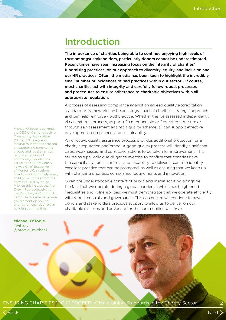### Introduction

The importance of charities being able to continue enjoying high levels of trust amongst stakeholders, particularly donors cannot be underestimated. Recent times have seen increasing focus on the integrity of charities' fundraising practices, on our approach to diversity, equity, and inclusion and our HR practices. Often, the media has been keen to highlight the incredibly small number of incidences of bad practices within our sector. Of course, most charities act with integrity and carefully follow robust processes and procedures to ensure adherence to charitable objectives within all appropriate regulation.

A process of assessing compliance against an agreed quality accreditation standard or framework can be an integral part of charities' strategic approach and can help reinforce good practice. Whether this be assessed independently via an external process, as part of a membership or federated structure or through self-assessment against a quality scheme; all can support effective development, compliance, and sustainability.

An effective quality assurance process provides additional protection for a charity's reputation and brand. A good quality process will identify significant gaps, weaknesses, and corrective actions to be taken for improvement. This serves as a periodic due diligence exercise to confirm that charities have the capacity, systems, controls, and capability to deliver. It can also identify excellent practice that can be promoted, as well as ensuring that we keep up with changing priorities, compliance requirements and innovation.

Given the understandable context of public and media scrutiny, alongside the fact that we operate during a global pandemic which has heightened inequalities and vulnerabilities; we must demonstrate that we operate efficiently with robust controls and governance. This can ensure we continue to have donors and stakeholders precious support to allow us to deliver on our charitable missions and advocate for the communities we serve.

Michael O'Toole is currently the CEO of Cambridgeshire Community Foundation (CCF). CCF is a grantmaking foundation focussed on supporting community groups and local charities, part of a network of community foundations across the UK. Previously he was Chief Executive of Mentor UK, a national charity working to help every child grow up free from the harms caused by drugs. Prior to this he was the first Crown Representative for the Voluntary & Community Sector. In this role he advised government on how to strengthen charities' role in building communities.

**Michael O'Toole** Twitter: @otoole\_michael

ENSURING CHARITIES 'DO IT PROPERLY'.Maintaining Standards in the Charity Sector. 2

Back Next Service of the Community of the Community of the Community of the Community of the Next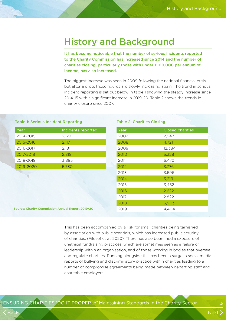### History and Background

It has become noticeable that the number of serious incidents reported to the Charity Commission has increased since 2014 and the number of charities closing, particularly those with under £100,000 per annum of income, has also increased.

The biggest increase was seen in 2009 following the national financial crisis but after a drop, those figures are slowly increasing again. The trend in serious incident reporting is set out below in table 1 showing the steady increase since 2014-15 with a significant increase in 2019-20. Table 2 shows the trends in charity closure since 2007.

#### Table 1: Serious Incident Reporting

| Year      | Incidents reported |
|-----------|--------------------|
| 2014-2015 | 2,129              |
| 2015-2016 | 2,117              |
| 2016-2017 | 2,181              |
| 2017-2018 | 2,819              |
| 2018-2019 | 3.895              |
| 2019-2020 | 5,730              |

#### Table 2: Charities Closing

| Year | <b>Closed charities</b> |
|------|-------------------------|
| 2007 | 2,947                   |
| 2008 | 4,721                   |
| 2009 | 12,384                  |
| 2010 | 5,328                   |
| 2011 | 6,470                   |
| 2012 | 3,776                   |
| 2013 | 3,596                   |
| 2014 | 3,219                   |
| 2015 | 3,452                   |
| 2016 | 2,622                   |
| 2017 | 2,822                   |
| 2018 | 3,903                   |
| 2019 | 4,404                   |

Source: Charity Commission Annual Report 2019/20

This has been accompanied by a risk for small charities being tarnished by association with public scandals, which has increased public scrutiny of charities. (Filosof et al, 2020). There has also been media exposure of unethical fundraising practices, which are sometimes seen as a failure of leadership within an organisation, and of those working in bodies that oversee and regulate charities. Running alongside this has been a surge in social media reports of bullying and discriminatory practice within charities leading to a number of compromise agreements being made between departing staff and charitable employers.

Back Next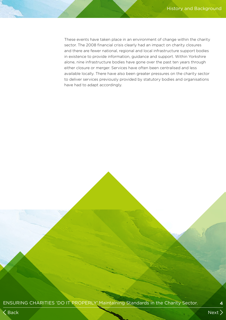These events have taken place in an environment of change within the charity sector. The 2008 financial crisis clearly had an impact on charity closures and there are fewer national, regional and local infrastructure support bodies in existence to provide information, guidance and support. Within Yorkshire alone, nine infrastructure bodies have gone over the past ten years through either closure or merger. Services have often been centralised and less available locally. There have also been greater pressures on the charity sector to deliver services previously provided by statutory bodies and organisations have had to adapt accordingly.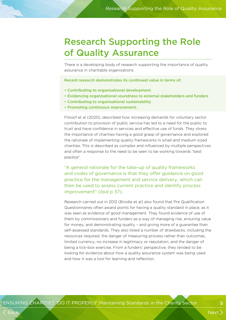### Research Supporting the Role of Quality Assurance

There is a developing body of research supporting the importance of quality assurance in charitable organisations.

Recent research demonstrates its continued value in terms of:

- Contributing to organisational development
- Evidencing organisational soundness to external stakeholders and funders
- Contributing to organisational sustainability
- Promoting continuous improvement.

Filosof et al (2020), described how increasing demands for voluntary sector contribution to provision of public service has led to a need for the public to trust and have confidence in services and effective use of funds. They stress the importance of charities having a good grasp of governance and explored the rationale of implementing quality frameworks in small and medium sized charities. This is described as complex and influenced by multiple perspectives and often a response to the need to be seen to be working towards "best practice".

"A general rationale for the take-up of quality frameworks and codes of governance is that they offer guidance on good practice for the management and service delivery, which can then be used to assess current practice and identify process improvement" (ibid p 37).

Research carried out in 2012 (Brodie et al) also found that Pre Qualification Questionnaires often award points for having a quality standard in place, as it was seen as evidence of good management. They found evidence of use of them by commissioners and funders as a way of managing risk, ensuring value for money, and demonstrating quality – and giving more of a guarantee than self-assessed standards. They also listed a number of drawbacks, including the resources required, the danger of measuring process rather than outcomes, limited currency, no increase in legitimacy or reputation, and the danger of being a tick-box exercise. From a funders' perspective, they tended to be looking for evidence about how a quality assurance system was being used and how it was a tool for learning and reflection.

ENSURING CHARITIES 'DO IT PROPERLY'.Maintaining Standards in the Charity Sector. 5

Back Next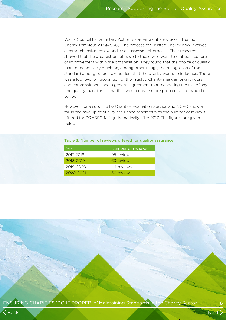Wales Council for Voluntary Action is carrying out a review of Trusted Charity (previously PQASSO). The process for Trusted Charity now involves a comprehensive review and a self assessment process. Their research showed that the greatest benefits go to those who want to embed a culture of improvement within the organisation. They found that the choice of quality mark depends very much on, among other things, the recognition of the standard among other stakeholders that the charity wants to influence. There was a low level of recognition of the Trusted Charity mark among funders and commissioners, and a general agreement that mandating the use of any one quality mark for all charities would create more problems than would be solved.

However, data supplied by Charities Evaluation Service and NCVO show a fall in the take up of quality assurance schemes with the number of reviews offered for PQASSO falling dramatically after 2017. The figures are given below.

#### Table 3: Number of reviews offered for quality assurance

| Year      | Number of reviews |
|-----------|-------------------|
| 2017-2018 | 95 reviews        |
| 2018-2019 | 63 reviews        |
| 2019-2020 | 44 reviews        |
| 2020-2021 | 30 reviews        |
|           |                   |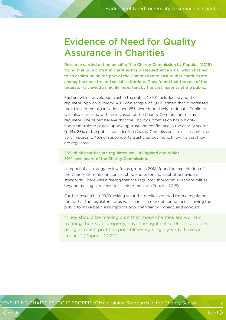### Evidence of Need for Quality Assurance in Charities

Research carried out on behalf of the Charity Commission by Populus (2018) found that public trust in charities has plateaued since 2016, which has led to an aspiration on the part of the Commission to ensure that charities are among the most trusted social institutions. They found that the role of the regulator is viewed as highly important by the vast majority of the public.

Factors which developed trust in the public (p 10) included having the regulator logo on publicity. 49% of a sample of 2,059 stated that it increased their trust in the organisation, and 25% were more likely to donate. Public trust was also increased with an inclusion of the Charity Commission role as regulator. The public believe that the Charity Commission has a highly important role to play in upholding trust and confidence in the charity sector (p 14). 83% of the public consider the Charity Commission's role is essential or very important. 45% of respondents trust charities more, knowing that they are regulated.

#### 55% think charities are regulated well in England and Wales. 52% have heard of the Charity Commission.

A report of a strategy review focus group in 2018, found an expectation of the Charity Commission constructing and enforcing a set of behavioural standards. There was a feeling that the regulator should have responsibilities beyond making sure charities stick to the law. (Populus 2018)

Further research in 2020, asking what the public expected from a regulator, found that the regulator status was seen as a mark of confidence, allowing the public to make basic assumptions about efficiency, impact, and conduct.

"They should be making sure that those charities are well run, treating their staff properly, have the right set of ethics, and are using as much profit as possible every single year to have an impact." (Populus 2020)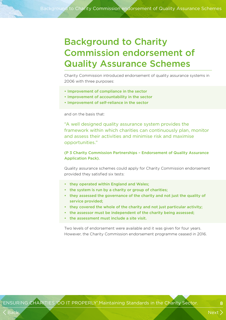## Background to Charity Commission endorsement of Quality Assurance Schemes

Charity Commission introduced endorsement of quality assurance systems in 2006 with three purposes:

- Improvement of compliance in the sector
- Improvement of accountability in the sector
- Improvement of self-reliance in the sector

and on the basis that:

"A well designed quality assurance system provides the framework within which charities can continuously plan, monitor and assess their activities and minimise risk and maximise opportunities."

#### (P 3 Charity Commission Partnerships – Endorsement of Quality Assurance Application Pack).

Quality assurance schemes could apply for Charity Commission endorsement provided they satisfied six tests:

- they operated within England and Wales;
- the system is run by a charity or group of charities;
- they assessed the governance of the charity and not just the quality of service provided;
- they covered the whole of the charity and not just particular activity;
- the assessor must be independent of the charity being assessed;
- the assessment must include a site visit.

Two levels of endorsement were available and it was given for four years. However, the Charity Commission endorsement programme ceased in 2016.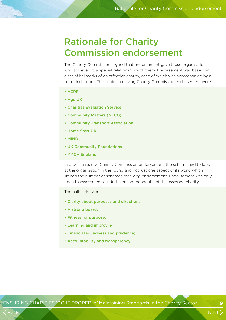### Rationale for Charity Commission endorsement

The Charity Commission argued that endorsement gave those organisations who achieved it, a special relationship with them. Endorsement was based on a set of hallmarks of an effective charity, each of which was accompanied by a set of indicators. The bodies receiving Charity Commission endorsement were:

- ACRE
- Age UK
- Charities Evaluation Service
- Community Matters (NFCO)
- Community Transport Association
- Home Start UK
- MIND
- UK Community Foundations
- YMCA England

In order to receive Charity Commission endorsement, the scheme had to look at the organisation in the round and not just one aspect of its work, which limited the number of schemes receiving endorsement. Endorsement was only open to assessments undertaken independently of the assessed charity.

The hallmarks were:

- Clarity about purposes and directions;
- A strong board;
- Fitness for purpose;
- Learning and improving;
- Financial soundness and prudence;
- Accountability and transparency.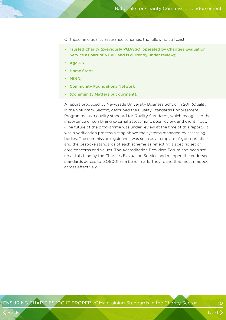Of those nine quality assurance schemes, the following still exist:

- Trusted Charity (previously PQASSO, operated by Charities Evaluation Service as part of NCVO and is currently under review);
- Age UK;
- Home Start;
- MIND;
- Community Foundations Network
- (Community Matters but dormant).

A report produced by Newcastle University Business School in 2011 (Quality in the Voluntary Sector), described the Quality Standards Endorsement Programme as a quality standard for Quality Standards, which recognised the importance of combining external assessment, peer review, and client input. (The future of the programme was under review at the time of this report). It was a verification process sitting above the systems managed by assessing bodies. The commission's guidance was seen as a template of good practice, and the bespoke standards of each scheme as reflecting a specific set of core concerns and values. The Accreditation Providers Forum had been set up at this time by the Charities Evaluation Service and mapped the endorsed standards across to ISO9001 as a benchmark. They found that most mapped across effectively.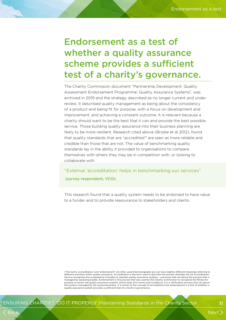### Endorsement as a test of whether a quality assurance scheme provides a sufficient test of a charity's governance.

The Charity Commission document "Partnership Development: Quality Assessment Endorsement Programme: Quality Assurance Systems", was archived in 2019 and the strategy described as no longer current and under review. It described quality management as being about the consistency of a product and being fit for purpose, with a focus on development and improvement, and achieving a constant outcome. It is relevant because a charity should want to be the best that it can and provide the best possible service. Those building quality assurance into their business planning are likely to be more resilient. Research cited above (Brodie et al 2012), found that quality standards that are "accredited" are seen as more reliable and credible than those that are not. The value of benchmarking quality standards lay in the ability it provided to organisations to compare themselves with others they may be in competition with, or looking to collaborate with.

"External 'accreditation' helps in benchmarking our services" (survey respondent, VCO).

This research found that a quality system needs to be endorsed to have value to a funder and to provide reassurance to stakeholders and clients.

1 The terms 'accreditation' and 'endorsement' are often used interchangeably but can have slightly different meanings referring to different activities within quality assurance. Accreditation is the term used to describe the process whereby the UK Accreditation Service recognises the competence of bodies to operate quality assurance systems – a process that sits above the process that is managed by assessing bodies. Endorsement is the process that was used by the Charity Commission to recognise the fitness for purpose of sector led quality assurance systems which meet strict terms and conditions. It is a verification process that sits above the systems managed by the assessing bodies. It is similar to the concept of accreditation but endorsement is a test of whether a quality assurance system provides a sufficient test of a charity's governance.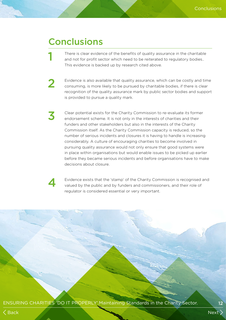### **Conclusions**

There is clear evidence of the benefits of quality assurance in the charitable and not for profit sector which need to be reiterated to regulatory bodies.. This evidence is backed up by research cited above.

2 Evidence is also available that quality assurance, which can be costly and time<br>consuming is more likely to be pursued by charitable bodies, if there is clear. consuming, is more likely to be pursued by charitable bodies, if there is clear recognition of the quality assurance mark by public sector bodies and support is provided to pursue a quality mark.

3 Clear potential exists for the Charity Commission to re-evaluate its former endorsement scheme. It is not only in the interests of charities and their funders and other stakeholders but also in the interests of the Charity Commission itself. As the Charity Commission capacity is reduced, so the number of serious incidents and closures it is having to handle is increasing considerably. A culture of encouraging charities to become involved in pursuing quality assurance would not only ensure that good systems were in place within organisations but would enable issues to be picked up earlier before they became serious incidents and before organisations have to make decisions about closure.

4 Evidence exists that the 'stamp' of the Charity Commission is recognised and valued by the public and by funders and commissioners, and their role of regulator is considered essential or very important.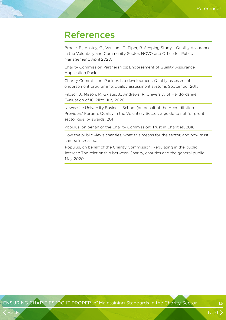### References

Brodie, E., Anstey, G., Vansom, T., Piper, R. Scoping Study – Quality Assurance in the Voluntary and Community Sector. NCVO and Office for Public Management. April 2020.

Charity Commission Partnerships: Endorsement of Quality Assurance. Application Pack.

Charity Commission. Partnership development. Quality assessment endorsement programme: quality assessment systems September 2013.

Filosof, J., Mason, P., Gkiatis, J., Andrews, R. University of Hertfordshire. Evaluation of IQ Pilot. July 2020.

Newcastle University Business School (on behalf of the Accreditation Providers' Forum). Quality in the Voluntary Sector: a guide to not for profit sector quality awards. 2011.

Populus, on behalf of the Charity Commission: Trust in Charities, 2018:

How the public views charities, what this means for the sector, and how trust can be increased.

Populus, on behalf of the Charity Commission: Regulating in the public interest: The relationship between Charity, charities and the general public. May 2020.